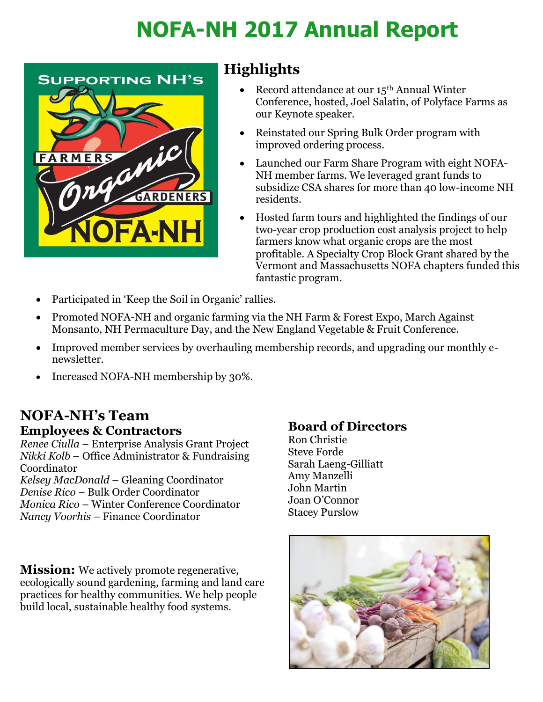# **NOFA-NH 2017 Annual Report**



## **Highlights**

- Record attendance at our 15<sup>th</sup> Annual Winter Conference, hosted, Joel Salatin, of Polyface Farms as our Keynote speaker.
- Reinstated our Spring Bulk Order program with improved ordering process.
- Launched our Farm Share Program with eight NOFA-NH member farms. We leveraged grant funds to subsidize CSA shares for more than 40 low-income NH residents.
- Hosted farm tours and highlighted the findings of our two-year crop production cost analysis project to help farmers know what organic crops are the most profitable. A Specialty Crop Block Grant shared by the Vermont and Massachusetts NOFA chapters funded this fantastic program.
- Participated in 'Keep the Soil in Organic' rallies.
- Promoted NOFA-NH and organic farming via the NH Farm & Forest Expo, March Against Monsanto, NH Permaculture Day, and the New England Vegetable & Fruit Conference.
- Improved member services by overhauling membership records, and upgrading our monthly enewsletter.
- Increased NOFA-NH membership by 30%.

### **NOFA-NH's Team Employees & Contractors**

*Renee Ciulla* – Enterprise Analysis Grant Project *Nikki Kolb* – Office Administrator & Fundraising Coordinator *Kelsey MacDonald* – Gleaning Coordinator *Denise Rico* – Bulk Order Coordinator *Monica Rico* – Winter Conference Coordinator *Nancy Voorhis* – Finance Coordinator

**Mission:** We actively promote regenerative, ecologically sound gardening, farming and land care practices for healthy communities. We help people build local, sustainable healthy food systems.

#### **Board of Directors**

Ron Christie Steve Forde Sarah Laeng-Gilliatt Amy Manzelli John Martin Joan O'Connor Stacey Purslow